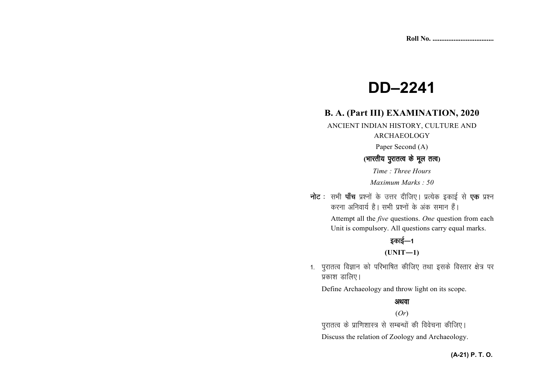# **DD–2241**

# **B. A. (Part III) EXAMINATION, 2020**

ANCIENT INDIAN HISTORY, CULTURE AND ARCHAEOLOGY

Paper Second (A)

# **(**Hkkjrh; iqjkrRo ds ewy rRo**)**

*Time : Three Hours Maximum Marks : 50*

नोट : सभी पाँच प्रश्नों के उत्तर दीजिए। प्रत्येक इकाई से **एक** प्रश्न करना अनिवार्य है। सभी प्रश्नों के अंक समान हैं।

> Attempt all the *five* questions. *One* question from each Unit is compulsory. All questions carry equal marks.

# डकाई—1

**(UNIT—1)** 

1. पुरातत्व विज्ञान को परिभाषित कीजिए तथा इसके विस्तार क्षेत्र पर प्रकाश डालिए।

Define Archaeology and throw light on its scope.

# अथवा

#### (*Or*)

पुरातत्व के प्राणिशास्त्र से सम्बन्धों की विवेचना कीजिए।

Discuss the relation of Zoology and Archaeology.

### **(A-21) P. T. O.**